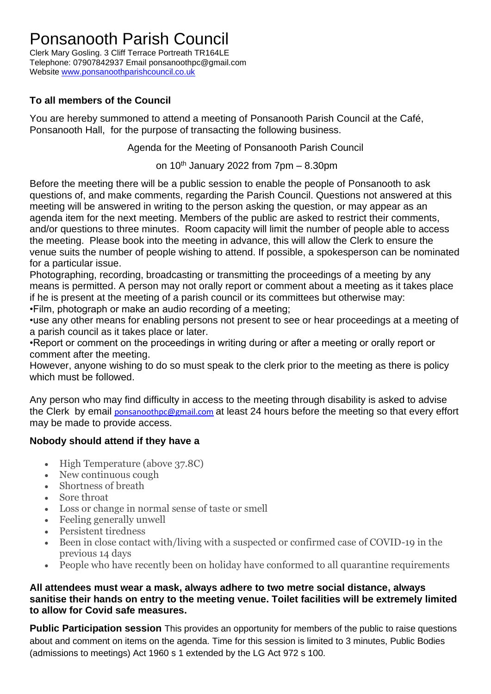## Ponsanooth Parish Council

Clerk Mary Gosling. 3 Cliff Terrace Portreath TR164LE Telephone: 07907842937 Email ponsanoothpc@gmail.com Website [www.ponsanoothparishcouncil.co.uk](http://www.ponsanoothparishcouncil.co.uk/)

## **To all members of the Council**

You are hereby summoned to attend a meeting of Ponsanooth Parish Council at the Café, Ponsanooth Hall, for the purpose of transacting the following business.

Agenda for the Meeting of Ponsanooth Parish Council

on 10<sup>th</sup> January 2022 from 7pm - 8.30pm

Before the meeting there will be a public session to enable the people of Ponsanooth to ask questions of, and make comments, regarding the Parish Council. Questions not answered at this meeting will be answered in writing to the person asking the question, or may appear as an agenda item for the next meeting. Members of the public are asked to restrict their comments, and/or questions to three minutes. Room capacity will limit the number of people able to access the meeting. Please book into the meeting in advance, this will allow the Clerk to ensure the venue suits the number of people wishing to attend. If possible, a spokesperson can be nominated for a particular issue.

Photographing, recording, broadcasting or transmitting the proceedings of a meeting by any means is permitted. A person may not orally report or comment about a meeting as it takes place if he is present at the meeting of a parish council or its committees but otherwise may: •Film, photograph or make an audio recording of a meeting;

•use any other means for enabling persons not present to see or hear proceedings at a meeting of a parish council as it takes place or later.

•Report or comment on the proceedings in writing during or after a meeting or orally report or comment after the meeting.

However, anyone wishing to do so must speak to the clerk prior to the meeting as there is policy which must be followed.

Any person who may find difficulty in access to the meeting through disability is asked to advise the Clerk by email [ponsanoothpc@gmail.com](mailto:ponsanoothpc@gmail.com) at least 24 hours before the meeting so that every effort may be made to provide access.

### **Nobody should attend if they have a**

- High Temperature (above 37.8C)
- New continuous cough
- Shortness of breath
- Sore throat
- Loss or change in normal sense of taste or smell
- Feeling generally unwell
- Persistent tiredness
- Been in close contact with/living with a suspected or confirmed case of COVID-19 in the previous 14 days
- People who have recently been on holiday have conformed to all quarantine requirements

#### **All attendees must wear a mask, always adhere to two metre social distance, always sanitise their hands on entry to the meeting venue. Toilet facilities will be extremely limited to allow for Covid safe measures.**

**Public Participation session** This provides an opportunity for members of the public to raise questions about and comment on items on the agenda. Time for this session is limited to 3 minutes, Public Bodies (admissions to meetings) Act 1960 s 1 extended by the LG Act 972 s 100.